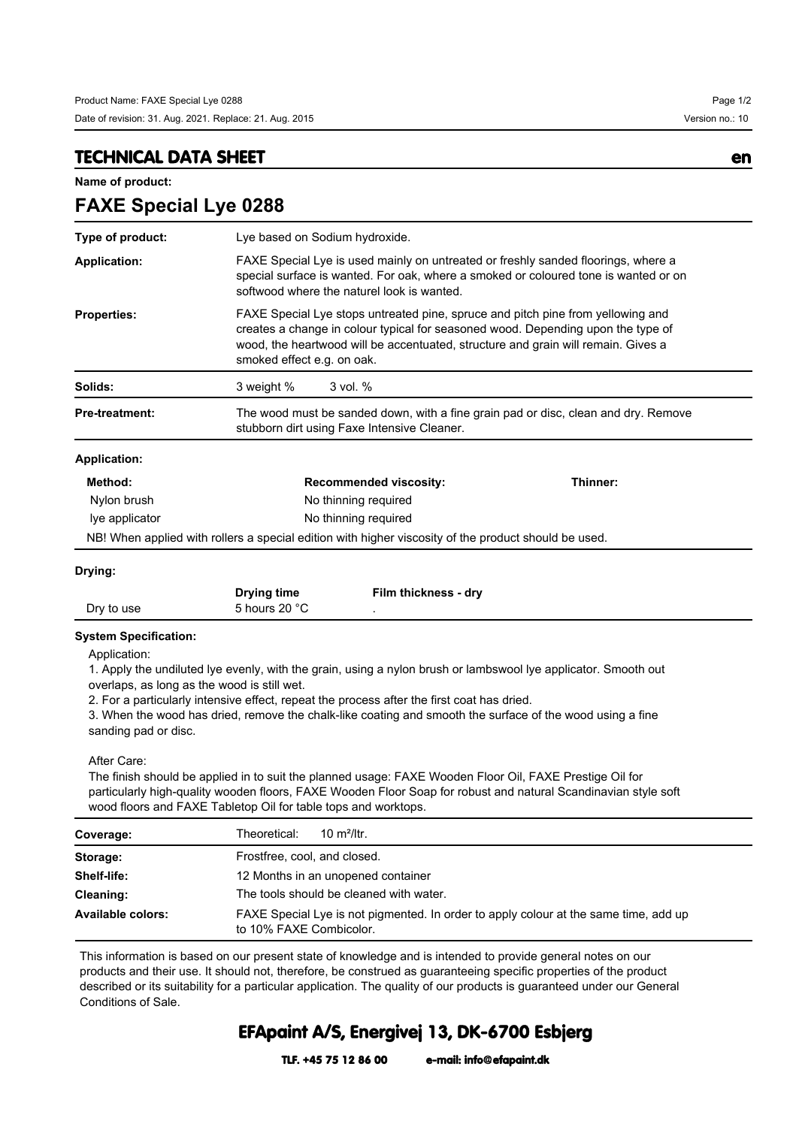## **TECHNICAL DATA SHEET en**

**FAXE Special Lye 0288**

**Name of product:**

| Type of product:      | Lye based on Sodium hydroxide.                                                                                                                                                                                                                                                         |          |  |
|-----------------------|----------------------------------------------------------------------------------------------------------------------------------------------------------------------------------------------------------------------------------------------------------------------------------------|----------|--|
| <b>Application:</b>   | FAXE Special Lye is used mainly on untreated or freshly sanded floorings, where a<br>special surface is wanted. For oak, where a smoked or coloured tone is wanted or on<br>softwood where the naturel look is wanted.                                                                 |          |  |
| <b>Properties:</b>    | FAXE Special Lye stops untreated pine, spruce and pitch pine from yellowing and<br>creates a change in colour typical for seasoned wood. Depending upon the type of<br>wood, the heartwood will be accentuated, structure and grain will remain. Gives a<br>smoked effect e.g. on oak. |          |  |
| Solids:               | 3 weight %<br>$3$ vol. $%$                                                                                                                                                                                                                                                             |          |  |
| <b>Pre-treatment:</b> | The wood must be sanded down, with a fine grain pad or disc, clean and dry. Remove<br>stubborn dirt using Faxe Intensive Cleaner.                                                                                                                                                      |          |  |
| <b>Application:</b>   |                                                                                                                                                                                                                                                                                        |          |  |
| Method:               | <b>Recommended viscosity:</b>                                                                                                                                                                                                                                                          | Thinner: |  |
| Nylon brush           | No thinning required                                                                                                                                                                                                                                                                   |          |  |
| lye applicator        | No thinning required                                                                                                                                                                                                                                                                   |          |  |
|                       | NB! When applied with rollers a special edition with higher viscosity of the product should be used.                                                                                                                                                                                   |          |  |

|            | <b>Drying time</b> | Film thickness - dry |
|------------|--------------------|----------------------|
| Dry to use | 5 hours 20 °C      |                      |

## **System Specification:**

Application:

1. Apply the undiluted lye evenly, with the grain, using a nylon brush or lambswool lye applicator. Smooth out overlaps, as long as the wood is still wet.

2. For a particularly intensive effect, repeat the process after the first coat has dried.

3. When the wood has dried, remove the chalk-like coating and smooth the surface of the wood using a fine sanding pad or disc.

## After Care:

The finish should be applied in to suit the planned usage: FAXE Wooden Floor Oil, FAXE Prestige Oil for particularly high-quality wooden floors, FAXE Wooden Floor Soap for robust and natural Scandinavian style soft wood floors and FAXE Tabletop Oil for table tops and worktops.

| Coverage:         | 10 $m^2$ /ltr.<br>Theoretical:                                                                                  |  |
|-------------------|-----------------------------------------------------------------------------------------------------------------|--|
| Storage:          | Frostfree, cool, and closed.                                                                                    |  |
| Shelf-life:       | 12 Months in an unopened container                                                                              |  |
| Cleaning:         | The tools should be cleaned with water.                                                                         |  |
| Available colors: | FAXE Special Lye is not pigmented. In order to apply colour at the same time, add up<br>to 10% FAXE Combicolor. |  |

This information is based on our present state of knowledge and is intended to provide general notes on our products and their use. It should not, therefore, be construed as guaranteeing specific properties of the product described or its suitability for a particular application. The quality of our products is guaranteed under our General Conditions of Sale.

## **EFApaint A/S, Energivej 13, DK-6700 Esbjerg**